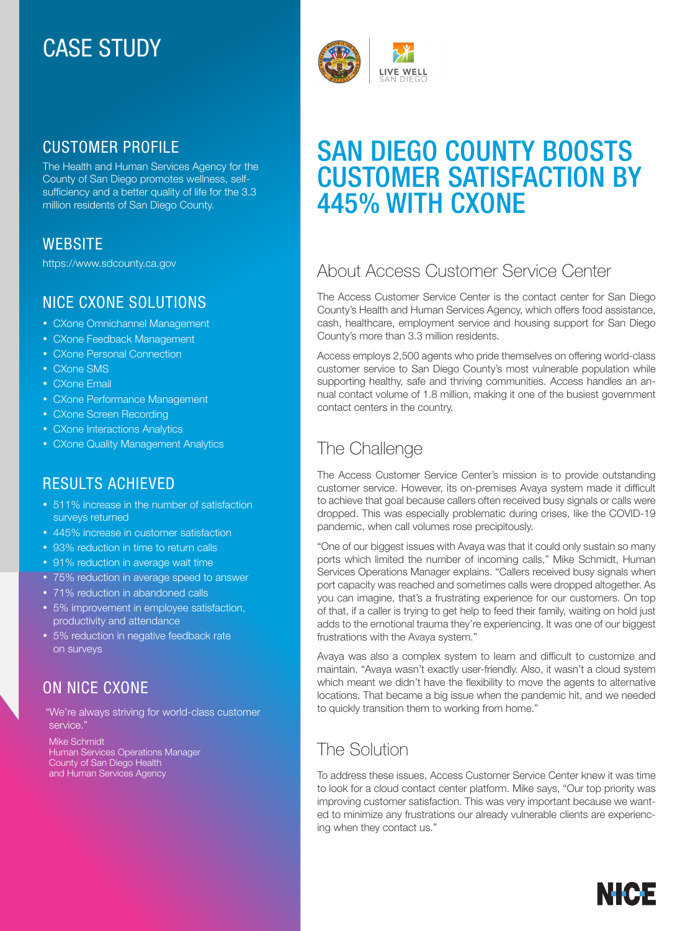# CASE STUDY

# CUSTOMER PROFILE

The Health and Human Services Agency for the County of San Diego promotes wellness, selfsufficiency and a better quality of life for the 3.3 million residents of San Diego County.

### **WEBSITE**

https://www.sdcounty.ca.gov

### NICE CXONE SOLUTIONS

- CXone Omnichannel Management
- CXone Feedback Management
- CXone Personal Connection
- CXone SMS
- CXone Email
- CXone Performance Management
- CXone Screen Recording
- CXone Interactions Analytics
- CXone Quality Management Analytics

# RESULTS ACHIEVED

- 511% increase in the number of satisfaction surveys returned
- 445% increase in customer satisfaction
- 93% reduction in time to return calls
- 91% reduction in average wait time
- 75% reduction in average speed to answer
- 71% reduction in abandoned calls
- 5% improvement in employee satisfaction, productivity and attendance
- 5% reduction in negative feedback rate on surveys

### ON NICE CXONE

 "We're always striving for world-class customer service."

Mike Schmidt Human Services Operations Manager County of San Diego Health and Human Services Agency



# SAN DIEGO COUNTY BOOSTS CUSTOMER SATISFACTION BY 445% WITH CXONE

# About Access Customer Service Center

The Access Customer Service Center is the contact center for San Diego County's Health and Human Services Agency, which offers food assistance, cash, healthcare, employment service and housing support for San Diego County's more than 3.3 million residents.

Access employs 2,500 agents who pride themselves on offering world-class customer service to San Diego County's most vulnerable population while supporting healthy, safe and thriving communities. Access handles an annual contact volume of 1.8 million, making it one of the busiest government contact centers in the country.

# The Challenge

The Access Customer Service Center's mission is to provide outstanding customer service. However, its on-premises Avaya system made it difficult to achieve that goal because callers often received busy signals or calls were dropped. This was especially problematic during crises, like the COVID-19 pandemic, when call volumes rose precipitously.

"One of our biggest issues with Avaya was that it could only sustain so many ports which limited the number of incoming calls," Mike Schmidt, Human Services Operations Manager explains. "Callers received busy signals when port capacity was reached and sometimes calls were dropped altogether. As you can imagine, that's a frustrating experience for our customers. On top of that, if a caller is trying to get help to feed their family, waiting on hold just adds to the emotional trauma they're experiencing. It was one of our biggest frustrations with the Avaya system."

Avaya was also a complex system to learn and difficult to customize and maintain. "Avaya wasn't exactly user-friendly. Also, it wasn't a cloud system which meant we didn't have the flexibility to move the agents to alternative locations. That became a big issue when the pandemic hit, and we needed to quickly transition them to working from home."

# The Solution

To address these issues, Access Customer Service Center knew it was time to look for a cloud contact center platform. Mike says, "Our top priority was improving customer satisfaction. This was very important because we wanted to minimize any frustrations our already vulnerable clients are experiencing when they contact us."